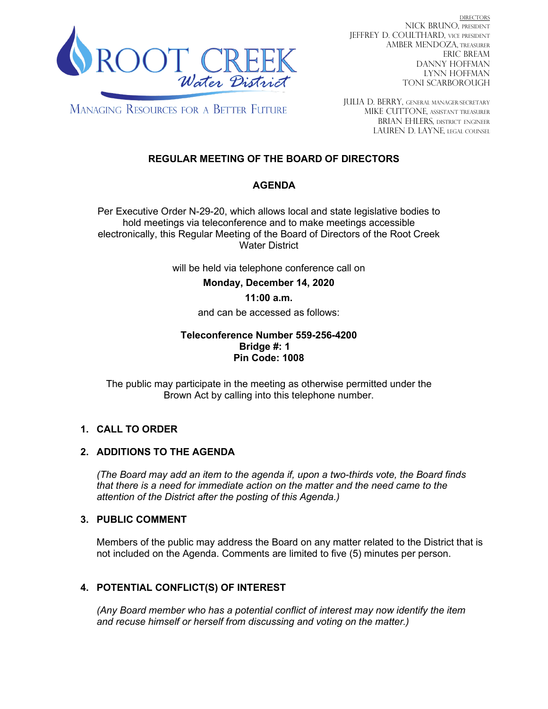

DIRECTORS NICK BRUNO, PRESIDENT JEFFREY D. COULTHARD, Vice President AMBER MENDOZA, TREASURER ERIC BREAM DANNY HOFFMAN LYNN HOFFMAN TONI SCARBOROUGH

**MANAGING RESOURCES FOR A BETTER FUTURE** 

JULIA D. BERRY, GENERAL MANAGER/secretary MIKE CUTTONE, Assistant treasurer BRIAN EHLERS, DISTRICT ENGINEER LAUREN D. LAYNE, LEGAL COUNSEL

# **REGULAR MEETING OF THE BOARD OF DIRECTORS**

# **AGENDA**

Per Executive Order N-29-20, which allows local and state legislative bodies to hold meetings via teleconference and to make meetings accessible electronically, this Regular Meeting of the Board of Directors of the Root Creek Water District

will be held via telephone conference call on

**Monday, December 14, 2020** 

### **11:00 a.m.**

and can be accessed as follows:

#### **Teleconference Number 559-256-4200 Bridge #: 1 Pin Code: 1008**

The public may participate in the meeting as otherwise permitted under the Brown Act by calling into this telephone number.

# **1. CALL TO ORDER**

### **2. ADDITIONS TO THE AGENDA**

*(The Board may add an item to the agenda if, upon a two-thirds vote, the Board finds that there is a need for immediate action on the matter and the need came to the attention of the District after the posting of this Agenda.)*

### **3. PUBLIC COMMENT**

Members of the public may address the Board on any matter related to the District that is not included on the Agenda. Comments are limited to five (5) minutes per person.

# **4. POTENTIAL CONFLICT(S) OF INTEREST**

*(Any Board member who has a potential conflict of interest may now identify the item and recuse himself or herself from discussing and voting on the matter.)*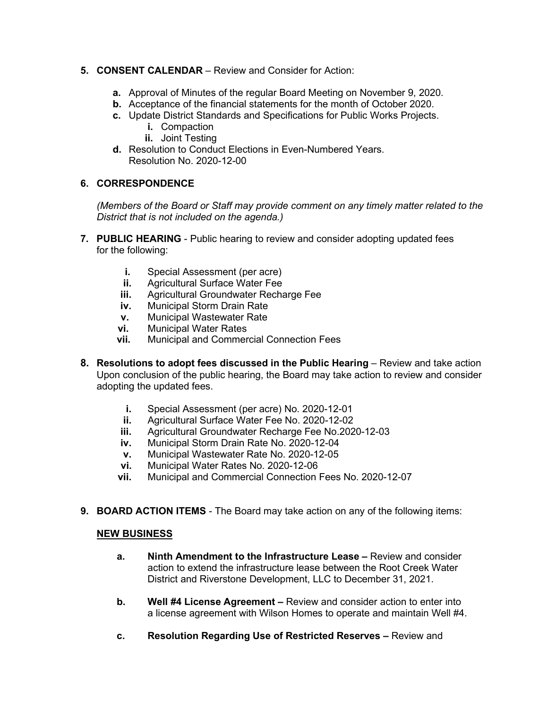### **5. CONSENT CALENDAR** – Review and Consider for Action:

- **a.** Approval of Minutes of the regular Board Meeting on November 9, 2020.
- **b.** Acceptance of the financial statements for the month of October 2020.
- **c.** Update District Standards and Specifications for Public Works Projects.
	- **i.** Compaction
		- **ii.** Joint Testing
- **d.** Resolution to Conduct Elections in Even-Numbered Years. Resolution No. 2020-12-00

#### **6. CORRESPONDENCE**

*(Members of the Board or Staff may provide comment on any timely matter related to the District that is not included on the agenda.)*

- **7. PUBLIC HEARING**  Public hearing to review and consider adopting updated fees for the following:
	- **i.** Special Assessment (per acre)
	- **ii.** Agricultural Surface Water Fee
	- **iii.** Agricultural Groundwater Recharge Fee
	- **iv.** Municipal Storm Drain Rate
	- **v.** Municipal Wastewater Rate
	- **vi.** Municipal Water Rates
	- **vii.** Municipal and Commercial Connection Fees
- **8. Resolutions to adopt fees discussed in the Public Hearing** Review and take action Upon conclusion of the public hearing, the Board may take action to review and consider adopting the updated fees.
	- **i.** Special Assessment (per acre) No. 2020-12-01
	- **ii.** Agricultural Surface Water Fee No. 2020-12-02
	- **iii.** Agricultural Groundwater Recharge Fee No.2020-12-03<br>**iv.** Municipal Storm Drain Rate No. 2020-12-04
	- **iv.** Municipal Storm Drain Rate No. 2020-12-04
	- **v.** Municipal Wastewater Rate No. 2020-12-05
	- **vi.** Municipal Water Rates No. 2020-12-06
	- **vii.** Municipal and Commercial Connection Fees No. 2020-12-07
- **9. BOARD ACTION ITEMS**  The Board may take action on any of the following items:

#### **NEW BUSINESS**

- **a. Ninth Amendment to the Infrastructure Lease –** Review and consider action to extend the infrastructure lease between the Root Creek Water District and Riverstone Development, LLC to December 31, 2021.
- **b. Well #4 License Agreement –** Review and consider action to enter into a license agreement with Wilson Homes to operate and maintain Well #4.
- **c. Resolution Regarding Use of Restricted Reserves –** Review and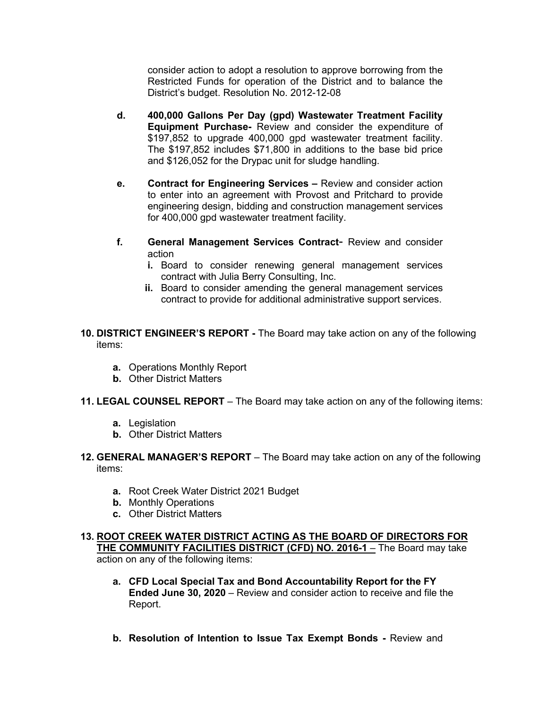consider action to adopt a resolution to approve borrowing from the Restricted Funds for operation of the District and to balance the District's budget. Resolution No. 2012-12-08

- **d. 400,000 Gallons Per Day (gpd) Wastewater Treatment Facility Equipment Purchase-** Review and consider the expenditure of \$197,852 to upgrade 400,000 gpd wastewater treatment facility. The \$197,852 includes \$71,800 in additions to the base bid price and \$126,052 for the Drypac unit for sludge handling.
- **e. Contract for Engineering Services –** Review and consider action to enter into an agreement with Provost and Pritchard to provide engineering design, bidding and construction management services for 400,000 gpd wastewater treatment facility.
- **f. General Management Services Contract** Review and consider action
	- **i.** Board to consider renewing general management services contract with Julia Berry Consulting, Inc.
	- **ii.** Board to consider amending the general management services contract to provide for additional administrative support services.
- **10. DISTRICT ENGINEER'S REPORT -** The Board may take action on any of the following items:
	- **a.** Operations Monthly Report
	- **b.** Other District Matters
- **11. LEGAL COUNSEL REPORT** The Board may take action on any of the following items:
	- **a.** Legislation
	- **b.** Other District Matters
- **12. GENERAL MANAGER'S REPORT** The Board may take action on any of the following items:
	- **a.** Root Creek Water District 2021 Budget
	- **b.** Monthly Operations
	- **c.** Other District Matters
- **13. ROOT CREEK WATER DISTRICT ACTING AS THE BOARD OF DIRECTORS FOR THE COMMUNITY FACILITIES DISTRICT (CFD) NO. 2016-1** – The Board may take action on any of the following items:
	- **a. CFD Local Special Tax and Bond Accountability Report for the FY Ended June 30, 2020** – Review and consider action to receive and file the Report.
	- **b. Resolution of Intention to Issue Tax Exempt Bonds -** Review and